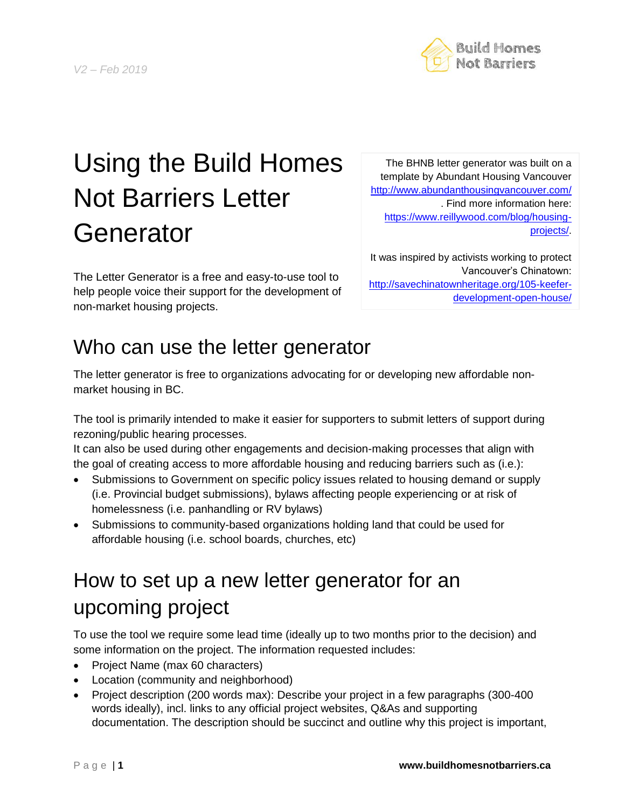### P a g e | **1 www.buildhomesnotbarriers.ca**

# Using the Build Homes Not Barriers Letter **Generator**

The Letter Generator is a free and easy-to-use tool to help people voice their support for the development of non-market housing projects.

template by Abundant Housing Vancouver <http://www.abundanthousingvancouver.com/> . Find more information here: [https://www.reillywood.com/blog/housing](https://www.reillywood.com/blog/housing-projects/)[projects/.](https://www.reillywood.com/blog/housing-projects/)

The BHNB letter generator was built on a

It was inspired by activists working to protect Vancouver's Chinatown: [http://savechinatownheritage.org/105-keefer](http://savechinatownheritage.org/105-keefer-development-open-house/)[development-open-house/](http://savechinatownheritage.org/105-keefer-development-open-house/)

## Who can use the letter generator

The letter generator is free to organizations advocating for or developing new affordable nonmarket housing in BC.

The tool is primarily intended to make it easier for supporters to submit letters of support during rezoning/public hearing processes.

It can also be used during other engagements and decision-making processes that align with the goal of creating access to more affordable housing and reducing barriers such as (i.e.):

- Submissions to Government on specific policy issues related to housing demand or supply (i.e. Provincial budget submissions), bylaws affecting people experiencing or at risk of homelessness (i.e. panhandling or RV bylaws)
- Submissions to community-based organizations holding land that could be used for affordable housing (i.e. school boards, churches, etc)

# How to set up a new letter generator for an upcoming project

To use the tool we require some lead time (ideally up to two months prior to the decision) and some information on the project. The information requested includes:

- Project Name (max 60 characters)
- Location (community and neighborhood)
- Project description (200 words max): Describe your project in a few paragraphs (300-400 words ideally), incl. links to any official project websites, Q&As and supporting documentation. The description should be succinct and outline why this project is important,